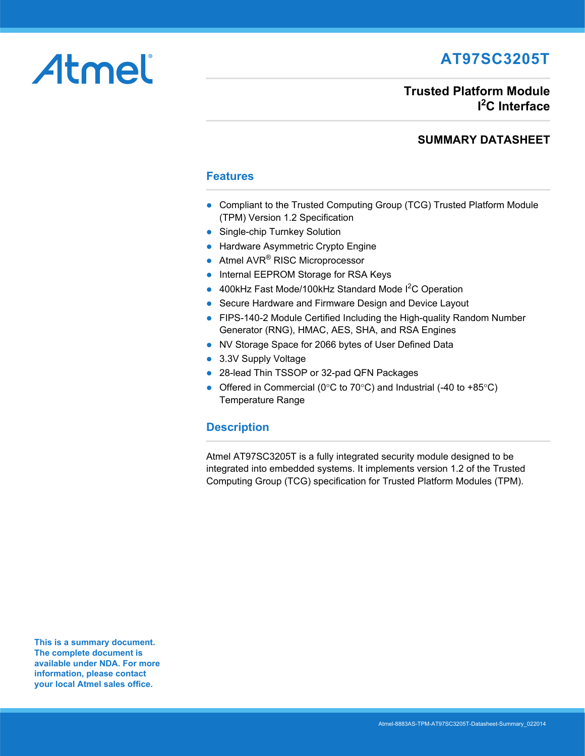# **AT97SC3205T**

# **Trusted Platform Module I 2 C Interface**

## **SUMMARY DATASHEET**

### **Features**

- Compliant to the Trusted Computing Group (TCG) Trusted Platform Module (TPM) Version 1.2 Specification
- Single-chip Turnkey Solution
- **Hardware Asymmetric Crypto Engine**
- Atmel AVR<sup>®</sup> RISC Microprocessor
- Internal EEPROM Storage for RSA Keys
- 400kHz Fast Mode/100kHz Standard Mode  $I^2C$  Operation
- Secure Hardware and Firmware Design and Device Layout
- FIPS-140-2 Module Certified Including the High-quality Random Number Generator (RNG), HMAC, AES, SHA, and RSA Engines
- NV Storage Space for 2066 bytes of User Defined Data
- 3.3V Supply Voltage
- 28-lead Thin TSSOP or 32-pad QFN Packages
- Offered in Commercial (0 $\degree$ C to 70 $\degree$ C) and Industrial (-40 to +85 $\degree$ C) Temperature Range

### **Description**

Atmel AT97SC3205T is a fully integrated security module designed to be [integrated into embedded systems. It implements version 1.2 of the Trusted](https://www.trustedcomputinggroup.org)  [Computing Group \(TCG\) specification for Trusted Platform Modules \(TPM\).](https://www.trustedcomputinggroup.org)

**This is a summary document. The complete document is available under NDA. For more information, please contact your local Atmel sales office.** 

Atmel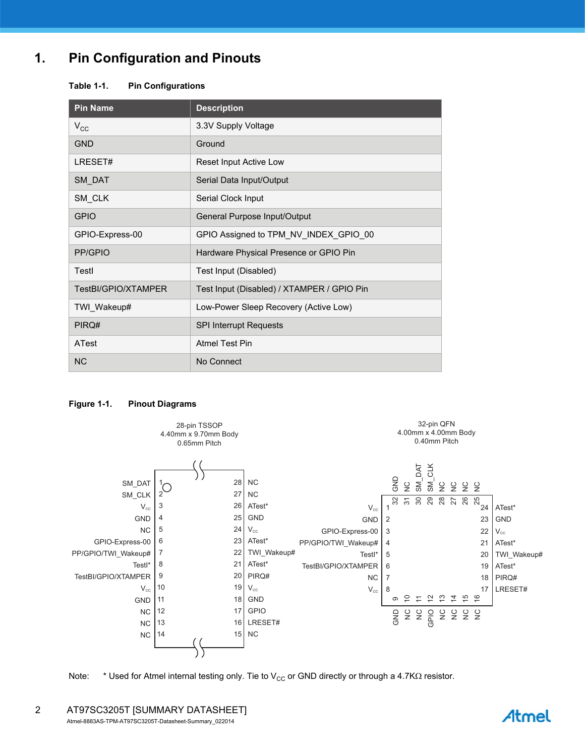## **1. Pin Configuration and Pinouts**

#### **Table 1-1. Pin Configurations**

| <b>Pin Name</b>     | <b>Description</b>                         |  |
|---------------------|--------------------------------------------|--|
| $V_{\rm CC}$        | 3.3V Supply Voltage                        |  |
| <b>GND</b>          | Ground                                     |  |
| LRESET#             | Reset Input Active Low                     |  |
| SM_DAT              | Serial Data Input/Output                   |  |
| SM_CLK              | Serial Clock Input                         |  |
| <b>GPIO</b>         | General Purpose Input/Output               |  |
| GPIO-Express-00     | GPIO Assigned to TPM_NV_INDEX_GPIO_00      |  |
| PP/GPIO             | Hardware Physical Presence or GPIO Pin     |  |
| Testl               | Test Input (Disabled)                      |  |
| TestBI/GPIO/XTAMPER | Test Input (Disabled) / XTAMPER / GPIO Pin |  |
| TWI_Wakeup#         | Low-Power Sleep Recovery (Active Low)      |  |
| PIRQ#               | <b>SPI Interrupt Requests</b>              |  |
| ATest               | <b>Atmel Test Pin</b>                      |  |
| <b>NC</b>           | No Connect                                 |  |

#### **Figure 1-1. Pinout Diagrams**



Note: \* Used for Atmel internal testing only. Tie to  $V_{CC}$  or GND directly or through a 4.7K $\Omega$  resistor.

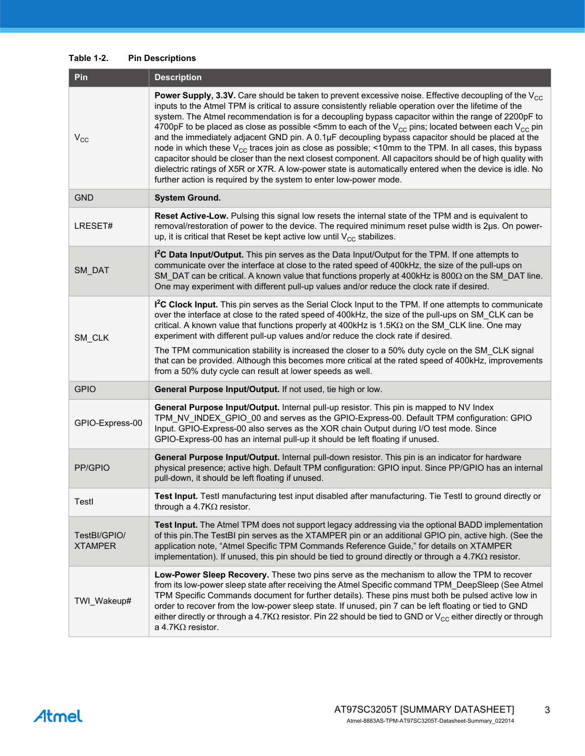#### **Table 1-2. Pin Descriptions**

| Pin                            | <b>Description</b>                                                                                                                                                                                                                                                                                                                                                                                                                                                                                                                                                                                                                                                                                                                                                                                                                                                                                                                                                  |  |  |
|--------------------------------|---------------------------------------------------------------------------------------------------------------------------------------------------------------------------------------------------------------------------------------------------------------------------------------------------------------------------------------------------------------------------------------------------------------------------------------------------------------------------------------------------------------------------------------------------------------------------------------------------------------------------------------------------------------------------------------------------------------------------------------------------------------------------------------------------------------------------------------------------------------------------------------------------------------------------------------------------------------------|--|--|
| $V_{\rm CC}$                   | <b>Power Supply, 3.3V.</b> Care should be taken to prevent excessive noise. Effective decoupling of the $V_{CC}$<br>inputs to the Atmel TPM is critical to assure consistently reliable operation over the lifetime of the<br>system. The Atmel recommendation is for a decoupling bypass capacitor within the range of 2200pF to<br>4700pF to be placed as close as possible <5mm to each of the $V_{CC}$ pins; located between each $V_{CC}$ pin<br>and the immediately adjacent GND pin. A 0.1µF decoupling bypass capacitor should be placed at the<br>node in which these $V_{CC}$ traces join as close as possible; <10mm to the TPM. In all cases, this bypass<br>capacitor should be closer than the next closest component. All capacitors should be of high quality with<br>dielectric ratings of X5R or X7R. A low-power state is automatically entered when the device is idle. No<br>further action is required by the system to enter low-power mode. |  |  |
| <b>GND</b>                     | <b>System Ground.</b>                                                                                                                                                                                                                                                                                                                                                                                                                                                                                                                                                                                                                                                                                                                                                                                                                                                                                                                                               |  |  |
| LRESET#                        | Reset Active-Low. Pulsing this signal low resets the internal state of the TPM and is equivalent to<br>removal/restoration of power to the device. The required minimum reset pulse width is 2µs. On power-<br>up, it is critical that Reset be kept active low until $V_{CC}$ stabilizes.                                                                                                                                                                                                                                                                                                                                                                                                                                                                                                                                                                                                                                                                          |  |  |
| SM_DAT                         | 1 <sup>2</sup> C Data Input/Output. This pin serves as the Data Input/Output for the TPM. If one attempts to<br>communicate over the interface at close to the rated speed of 400kHz, the size of the pull-ups on<br>SM_DAT can be critical. A known value that functions properly at 400kHz is 800 $\Omega$ on the SM_DAT line.<br>One may experiment with different pull-up values and/or reduce the clock rate if desired.                                                                                                                                                                                                                                                                                                                                                                                                                                                                                                                                       |  |  |
| SM_CLK                         | <sup>2</sup> C Clock Input. This pin serves as the Serial Clock Input to the TPM. If one attempts to communicate<br>over the interface at close to the rated speed of 400kHz, the size of the pull-ups on SM_CLK can be<br>critical. A known value that functions properly at 400kHz is 1.5KΩ on the SM_CLK line. One may<br>experiment with different pull-up values and/or reduce the clock rate if desired.<br>The TPM communication stability is increased the closer to a 50% duty cycle on the SM_CLK signal<br>that can be provided. Although this becomes more critical at the rated speed of 400kHz, improvements<br>from a 50% duty cycle can result at lower speeds as well.                                                                                                                                                                                                                                                                             |  |  |
| <b>GPIO</b>                    | General Purpose Input/Output. If not used, tie high or low.                                                                                                                                                                                                                                                                                                                                                                                                                                                                                                                                                                                                                                                                                                                                                                                                                                                                                                         |  |  |
| GPIO-Express-00                | General Purpose Input/Output. Internal pull-up resistor. This pin is mapped to NV Index<br>TPM_NV_INDEX_GPIO_00 and serves as the GPIO-Express-00. Default TPM configuration: GPIO<br>Input. GPIO-Express-00 also serves as the XOR chain Output during I/O test mode. Since<br>GPIO-Express-00 has an internal pull-up it should be left floating if unused.                                                                                                                                                                                                                                                                                                                                                                                                                                                                                                                                                                                                       |  |  |
| PP/GPIO                        | General Purpose Input/Output. Internal pull-down resistor. This pin is an indicator for hardware<br>physical presence; active high. Default TPM configuration: GPIO input. Since PP/GPIO has an internal<br>pull-down, it should be left floating if unused.                                                                                                                                                                                                                                                                                                                                                                                                                                                                                                                                                                                                                                                                                                        |  |  |
| Testl                          | Test Input. Testl manufacturing test input disabled after manufacturing. Tie Testl to ground directly or<br>through a 4.7K $\Omega$ resistor.                                                                                                                                                                                                                                                                                                                                                                                                                                                                                                                                                                                                                                                                                                                                                                                                                       |  |  |
| TestBI/GPIO/<br><b>XTAMPER</b> | Test Input. The Atmel TPM does not support legacy addressing via the optional BADD implementation<br>of this pin. The TestBI pin serves as the XTAMPER pin or an additional GPIO pin, active high. (See the<br>application note, "Atmel Specific TPM Commands Reference Guide," for details on XTAMPER<br>implementation). If unused, this pin should be tied to ground directly or through a $4.7K\Omega$ resistor.                                                                                                                                                                                                                                                                                                                                                                                                                                                                                                                                                |  |  |
| TWI_Wakeup#                    | Low-Power Sleep Recovery. These two pins serve as the mechanism to allow the TPM to recover<br>from its low-power sleep state after receiving the Atmel Specific command TPM_DeepSleep (See Atmel<br>TPM Specific Commands document for further details). These pins must both be pulsed active low in<br>order to recover from the low-power sleep state. If unused, pin 7 can be left floating or tied to GND<br>either directly or through a 4.7K $\Omega$ resistor. Pin 22 should be tied to GND or $V_{CC}$ either directly or through<br>a 4.7K $\Omega$ resistor.                                                                                                                                                                                                                                                                                                                                                                                            |  |  |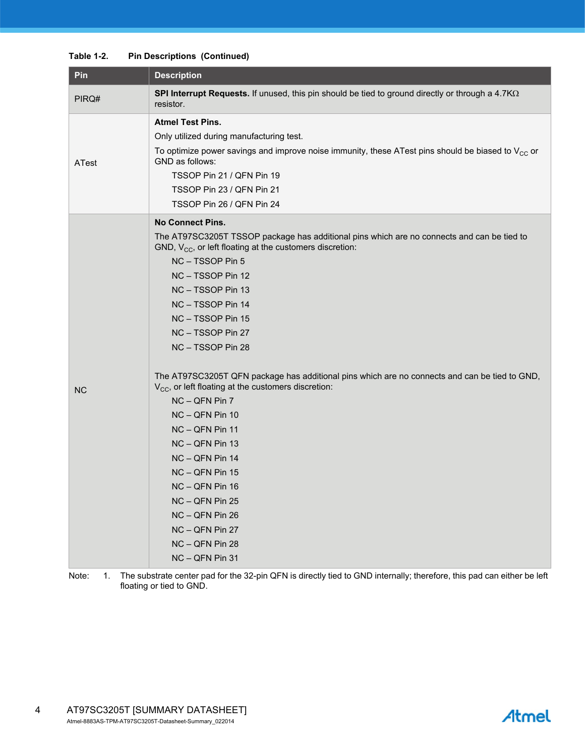#### **Table 1-2. Pin Descriptions (Continued)**

| Pin       | <b>Description</b>                                                                                                                                                                                                                                                                                                                                                                                                                                                                                                                                                                                                                                                                                                                            |  |  |
|-----------|-----------------------------------------------------------------------------------------------------------------------------------------------------------------------------------------------------------------------------------------------------------------------------------------------------------------------------------------------------------------------------------------------------------------------------------------------------------------------------------------------------------------------------------------------------------------------------------------------------------------------------------------------------------------------------------------------------------------------------------------------|--|--|
| PIRQ#     | SPI Interrupt Requests. If unused, this pin should be tied to ground directly or through a 4.7K $\Omega$<br>resistor.                                                                                                                                                                                                                                                                                                                                                                                                                                                                                                                                                                                                                         |  |  |
| ATest     | <b>Atmel Test Pins.</b><br>Only utilized during manufacturing test.<br>To optimize power savings and improve noise immunity, these ATest pins should be biased to $V_{CC}$ or<br>GND as follows:<br>TSSOP Pin 21 / QFN Pin 19<br>TSSOP Pin 23 / QFN Pin 21<br>TSSOP Pin 26 / QFN Pin 24                                                                                                                                                                                                                                                                                                                                                                                                                                                       |  |  |
| <b>NC</b> | <b>No Connect Pins.</b><br>The AT97SC3205T TSSOP package has additional pins which are no connects and can be tied to<br>GND, $V_{CC}$ , or left floating at the customers discretion:<br>NC-TSSOP Pin 5<br>NC - TSSOP Pin 12<br>NC - TSSOP Pin 13<br>NC - TSSOP Pin 14<br>NC - TSSOP Pin 15<br>NC - TSSOP Pin 27<br>NC - TSSOP Pin 28<br>The AT97SC3205T QFN package has additional pins which are no connects and can be tied to GND,<br>V <sub>CC</sub> , or left floating at the customers discretion:<br>NC - QFN Pin 7<br>NC - QFN Pin 10<br>NC - QFN Pin 11<br>NC - QFN Pin 13<br>NC - QFN Pin 14<br>NC - QFN Pin 15<br>NC - QFN Pin 16<br>NC - QFN Pin 25<br>NC - QFN Pin 26<br>NC - QFN Pin 27<br>NC - QFN Pin 28<br>NC - QFN Pin 31 |  |  |

Note: 1. The substrate center pad for the 32-pin QFN is directly tied to GND internally; therefore, this pad can either be left floating or tied to GND.

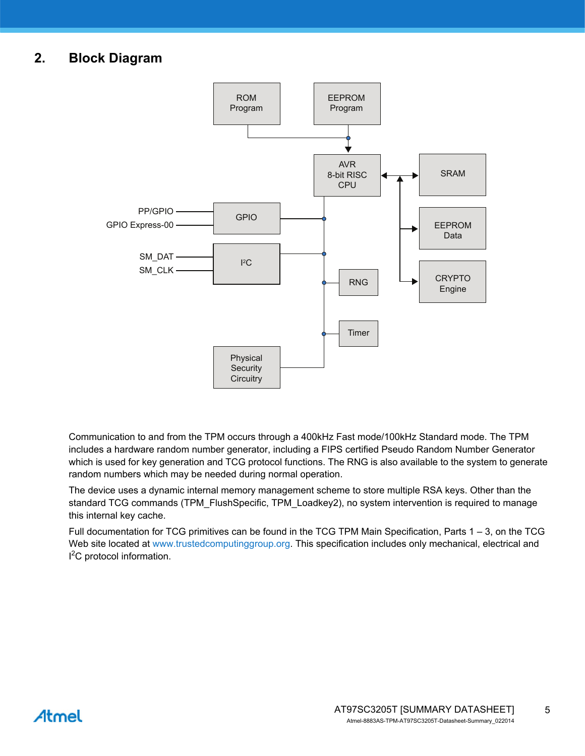## **2. Block Diagram**



Communication to and from the TPM occurs through a 400kHz Fast mode/100kHz Standard mode. The TPM includes a hardware random number generator, including a FIPS certified Pseudo Random Number Generator which is used for key generation and TCG protocol functions. The RNG is also available to the system to generate random numbers which may be needed during normal operation.

The device uses a dynamic internal memory management scheme to store multiple RSA keys. Other than the standard TCG commands (TPM\_FlushSpecific, TPM\_Loadkey2), no system intervention is required to manage this internal key cache.

[Full documentation for TCG primitives can be found in the TCG TPM Main Specification, Parts 1 – 3, on the TCG](https://www.trustedcomputinggroup.org)  [Web site located at w](https://www.trustedcomputinggroup.org)ww.trustedcomputinggroup.org. This specification includes only mechanical, electrical and <sup>2</sup>C protocol information.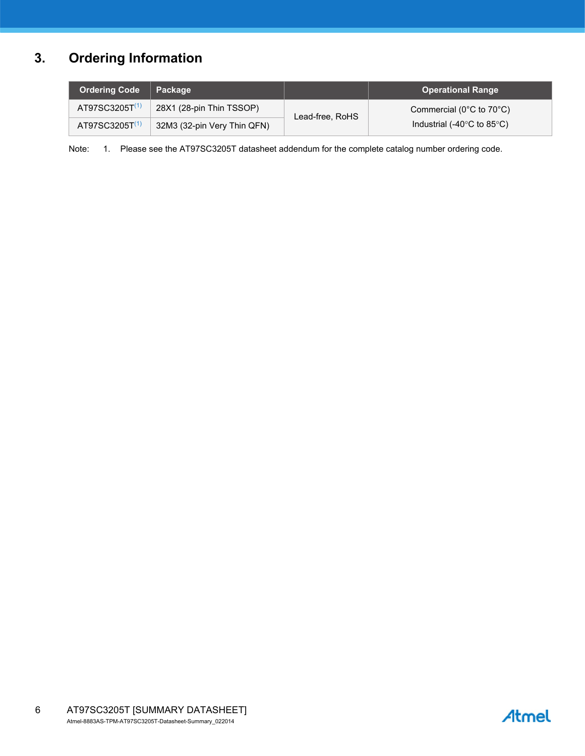# **3. Ordering Information**

| <b>Ordering Code</b>       | <b>L</b> Package            |                 | <b>Operational Range</b>                       |
|----------------------------|-----------------------------|-----------------|------------------------------------------------|
| AT97SC3205T <sup>(1)</sup> | 28X1 (28-pin Thin TSSOP)    | Lead-free, RoHS | Commercial ( $0^{\circ}$ C to $70^{\circ}$ C)  |
| $AT97SC3205T^{(1)}$        | 32M3 (32-pin Very Thin QFN) |                 | Industrial (-40 $\degree$ C to 85 $\degree$ C) |

<span id="page-5-0"></span>Note: 1. Please see the AT97SC3205T datasheet addendum for the complete catalog number ordering code.

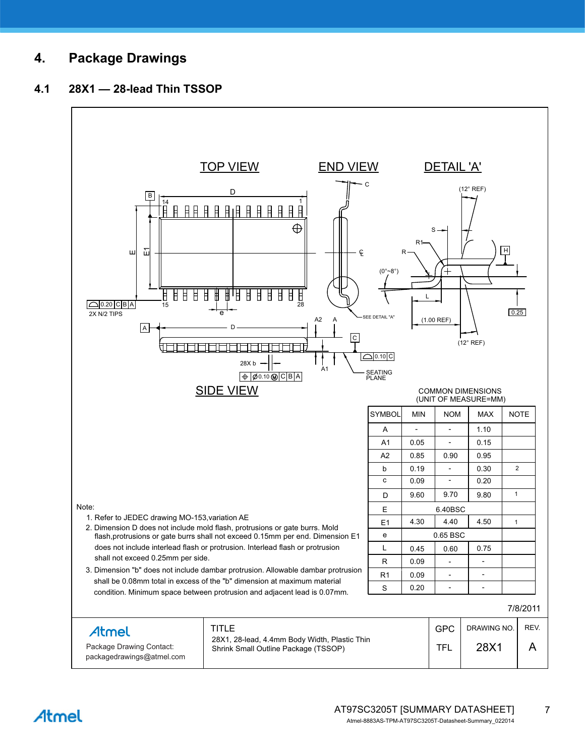## **4. Package Drawings**

### **4.1 28X1 — 28-lead Thin TSSOP**



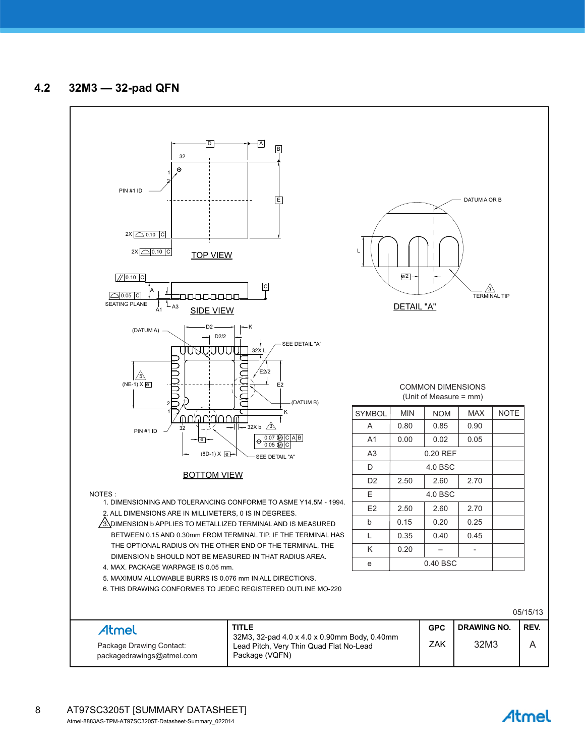### **4.2 32M3 — 32-pad QFN**



Atmel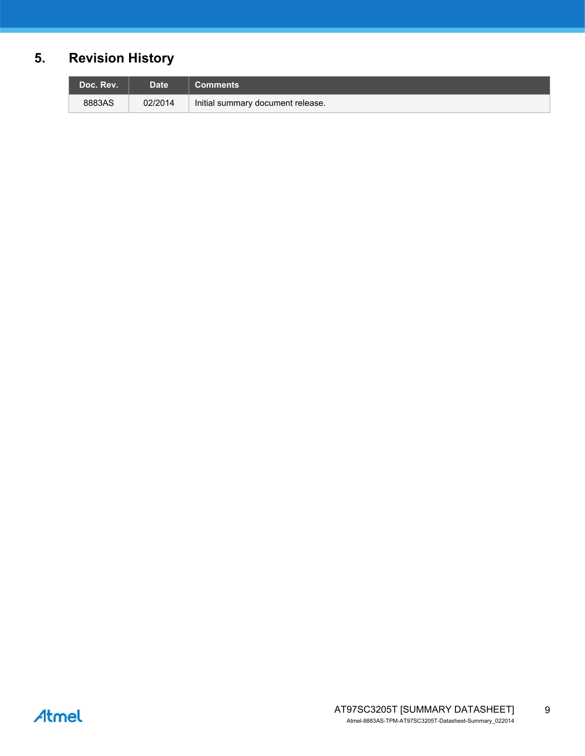# **5. Revision History**

| Doc. Rev. | Date <sup>1</sup> | Comments <b>b</b>                 |
|-----------|-------------------|-----------------------------------|
| 8883AS    | 02/2014           | Initial summary document release. |